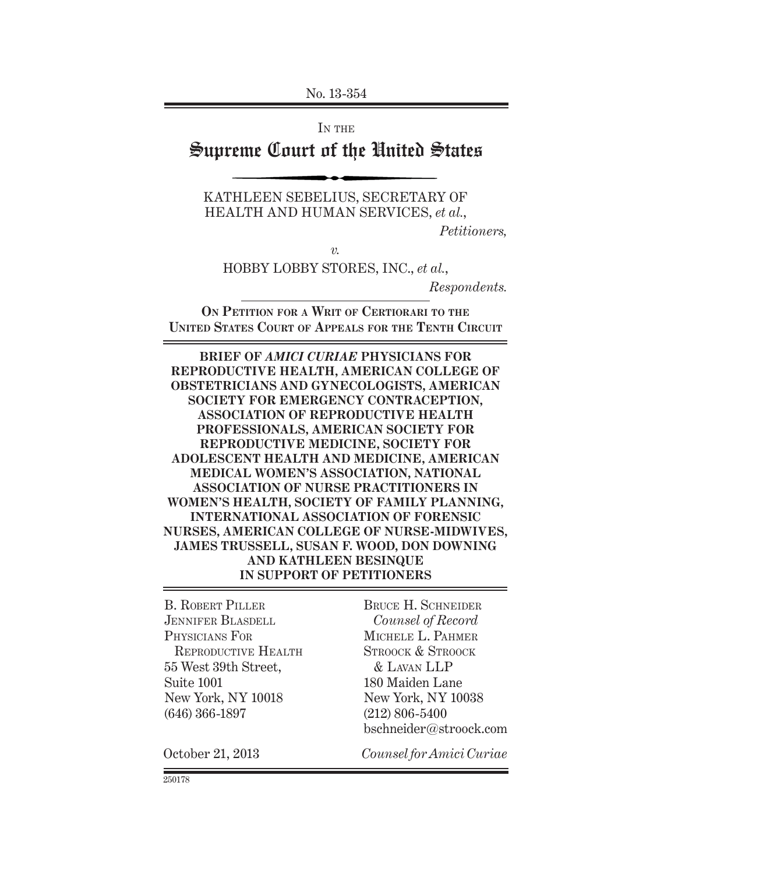No. 13-354

IN THE

# Supreme Court of the United States

KATHLEEN SEBELIUS, SECRETARY OF HEALTH AND HUMAN SERVICES, *et al.*,

*Petitioners,*

*v.*

HOBBY LOBBY STORES, INC., *et al.*,

*Respondents.*

**ON PETITION FOR A WRIT OF CERTIORARI TO THE UNITED STATES COURT OF APPEALS FOR THE TENTH CIRCUIT**

**BRIEF OF** *AMICI CURIAE* **PHYSICIANS FOR REPRODUCTIVE HEALTH, AMERICAN COLLEGE OF OBSTETRICIANS AND GYNECOLOGISTS, AMERICAN SOCIETY FOR EMERGENCY CONTRACEPTION, ASSOCIATION OF REPRODUCTIVE HEALTH PROFESSIONALS, AMERICAN SOCIETY FOR REPRODUCTIVE MEDICINE, SOCIETY FOR ADOLESCENT HEALTH AND MEDICINE, AMERICAN MEDICAL WOMEN'S ASSOCIATION, NATIONAL ASSOCIATION OF NURSE PRACTITIONERS IN WOMEN'S HEALTH, SOCIETY OF FAMILY PLANNING, INTERNATIONAL ASSOCIATION OF FORENSIC NURSES, AMERICAN COLLEGE OF NURSE-MIDWIVES, JAMES TRUSSELL, SUSAN F. WOOD, DON DOWNING AND KATHLEEN BESINQUE IN SUPPORT OF PETITIONERS**

B. ROBERT PILLER JENNIFER BLASDELL PHYSICIANS FOR REPRODUCTIVE HEALTH 55 West 39th Street, Suite 1001 New York, NY 10018 (646) 366-1897

BRUCE H. SCHNEIDER *Counsel of Record* MICHELE L. PAHMER STROOCK & STROOCK & LAVAN LLP 180 Maiden Lane New York, NY 10038 (212) 806-5400 bschneider@stroock.com

October 21, 2013 *Counsel for Amici Curiae*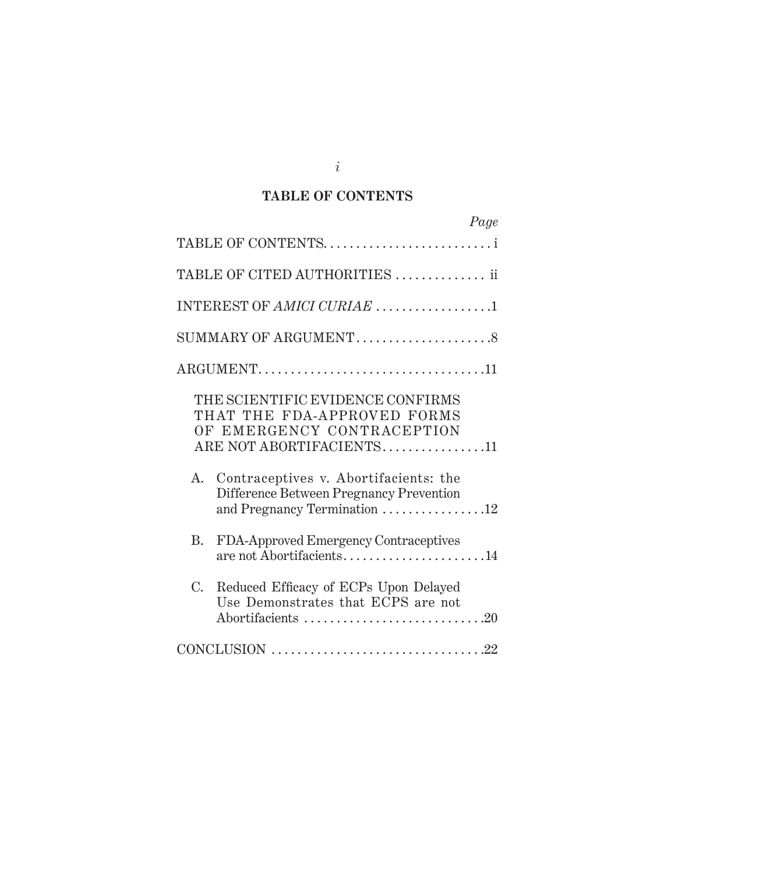## **TABLE OF CONTENTS**

| Page                                                                                                                      |
|---------------------------------------------------------------------------------------------------------------------------|
| TABLE OF CONTENTS                                                                                                         |
| TABLE OF CITED AUTHORITIES  ii                                                                                            |
| INTEREST OF AMICI CURIAE 1                                                                                                |
| SUMMARY OF ARGUMENT8                                                                                                      |
|                                                                                                                           |
| THE SCIENTIFIC EVIDENCE CONFIRMS<br>THAT THE FDA-APPROVED FORMS<br>OF EMERGENCY CONTRACEPTION<br>ARE NOT ABORTIFACIENTS11 |
| Contraceptives v. Abortifacients: the<br>А.<br>Difference Between Pregnancy Prevention<br>and Pregnancy Termination 12    |
| FDA-Approved Emergency Contraceptives<br>B.<br>are not Abortifacients14                                                   |
| $C_{\cdot}$<br>Reduced Efficacy of ECPs Upon Delayed<br>Use Demonstrates that ECPS are not<br>Abortifacients 20           |
|                                                                                                                           |

*i*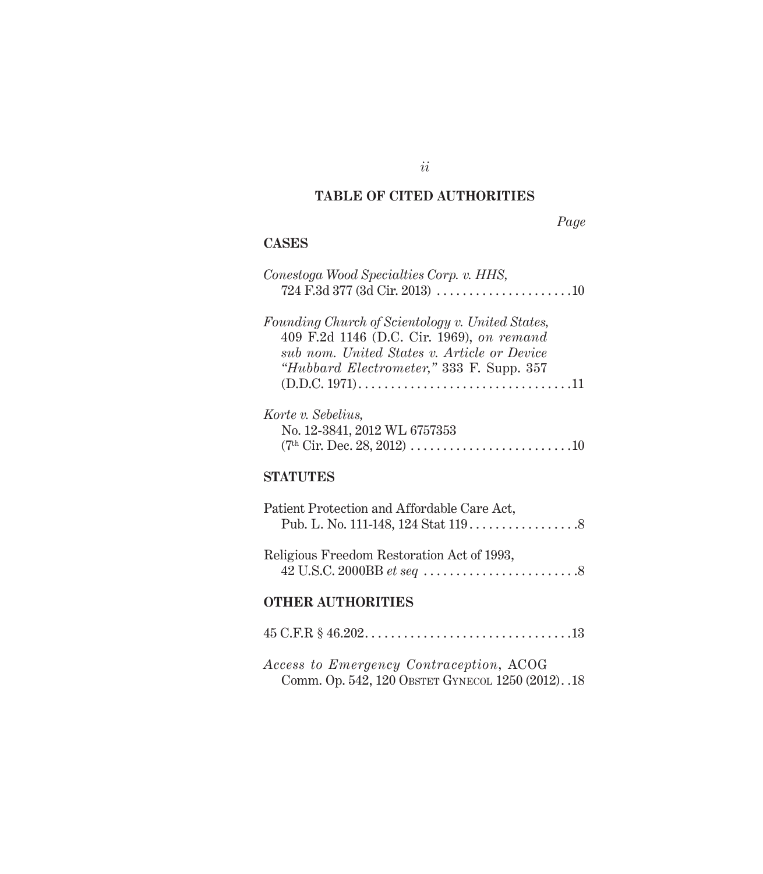## **TABLE OF CITED AUTHORITIES**

## *Page*

## **CASES**

| Conestoga Wood Specialties Corp. v. HHS,<br>$724 \text{ F.}3d 377 (3d \text{ Cir. } 2013) \dots \dots \dots \dots \dots \dots \dots 10$                                                  |
|------------------------------------------------------------------------------------------------------------------------------------------------------------------------------------------|
| Founding Church of Scientology v. United States,<br>409 F.2d 1146 (D.C. Cir. 1969), on remand<br>sub nom. United States v. Article or Device<br>"Hubbard Electrometer," 333 F. Supp. 357 |
| Korte v. Sebelius,<br>No. 12-3841, 2012 WL 6757353                                                                                                                                       |
| <b>STATUTES</b>                                                                                                                                                                          |
| Patient Protection and Affordable Care Act,                                                                                                                                              |
| Religious Freedom Restoration Act of 1993,                                                                                                                                               |
| <b>OTHER AUTHORITIES</b>                                                                                                                                                                 |
| $45 \text{ C.F.R }$ \$ $46.202 \ldots \ldots \ldots \ldots \ldots \ldots \ldots \ldots \ldots \ldots \ldots \ldots 13$                                                                   |

*Access to Emergency Contraception*, ACOG Comm. Op. 542, 120 OBSTET GYNECOL 1250 (2012). .18

*ii*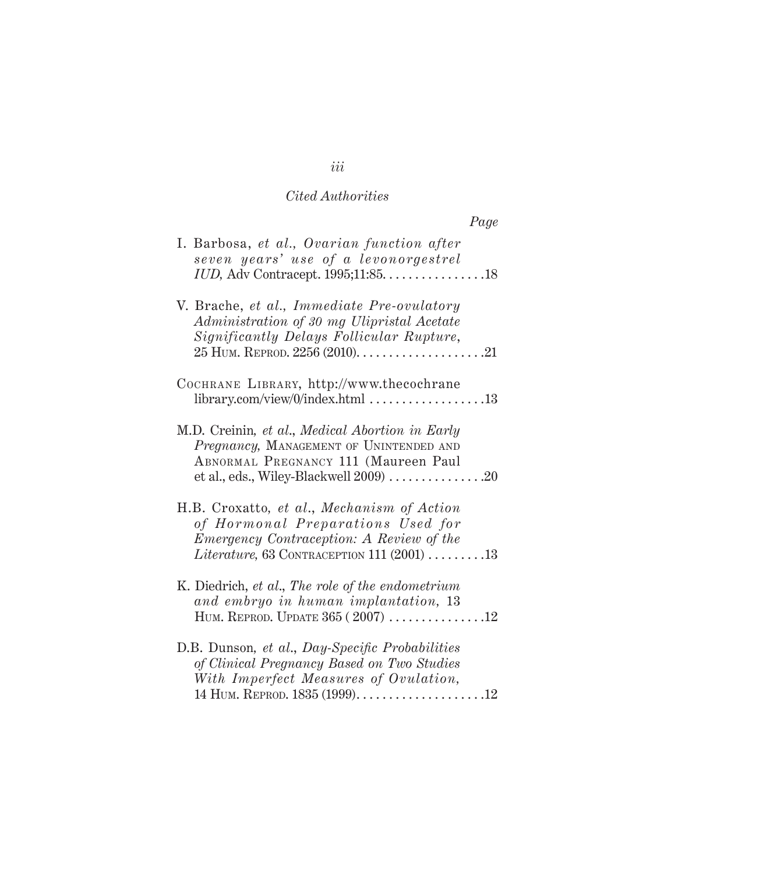|                                                                                                                                                                                    | Page |
|------------------------------------------------------------------------------------------------------------------------------------------------------------------------------------|------|
| I. Barbosa, et al., Ovarian function after<br>seven years' use of a levonorgestrel<br><i>IUD</i> , Adv Contracept. 1995;11:85. 18                                                  |      |
| V. Brache, et al., Immediate Pre-ovulatory<br>Administration of 30 mg Ulipristal Acetate<br>Significantly Delays Follicular Rupture,                                               |      |
| COCHRANE LIBRARY, http://www.thecochrane                                                                                                                                           |      |
| M.D. Creinin, et al., Medical Abortion in Early<br>Pregnancy, MANAGEMENT OF UNINTENDED AND<br>ABNORMAL PREGNANCY 111 (Maureen Paul                                                 |      |
| H.B. Croxatto, et al., Mechanism of Action<br>of Hormonal Preparations Used for<br><i>Emergency Contraception: A Review of the</i><br>Literature, 63 CONTRACEPTION 111 $(2001)$ 13 |      |
| K. Diedrich, et al., The role of the endometrium<br>and embryo in human implantation, 13<br>HUM. REPROD. UPDATE $365 (2007)$ 12                                                    |      |
| D.B. Dunson, et al., Day-Specific Probabilities<br>of Clinical Pregnancy Based on Two Studies<br>With Imperfect Measures of Ovulation,                                             |      |

*iii*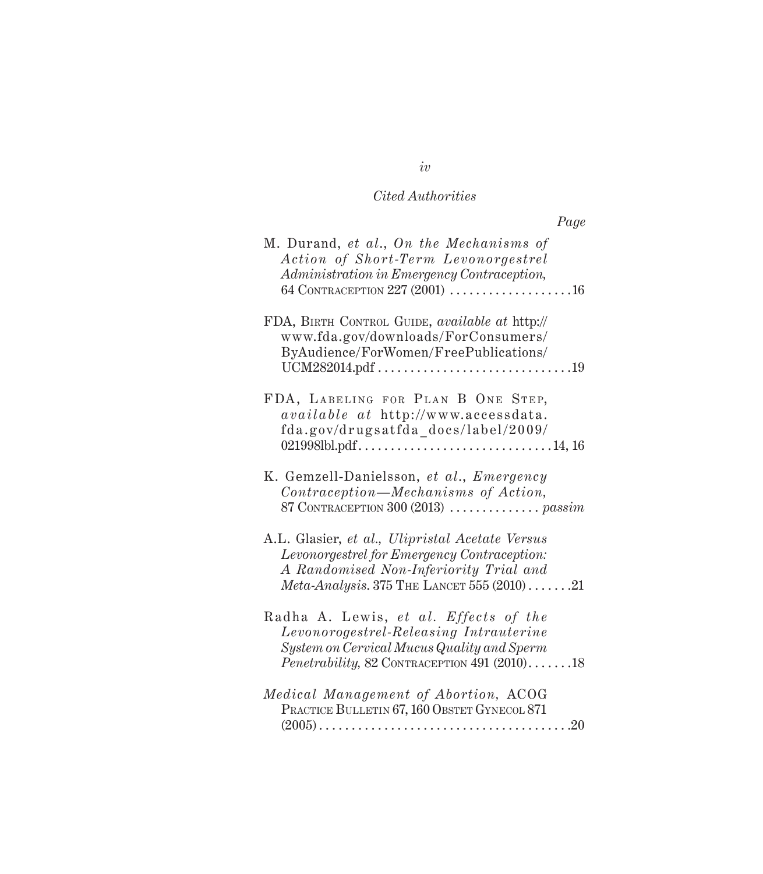| Page                                                                                                                                                                                           |
|------------------------------------------------------------------------------------------------------------------------------------------------------------------------------------------------|
| M. Durand, et al., On the Mechanisms of<br>Action of Short-Term Levonorgestrel<br>Administration in Emergency Contraception,<br>64 CONTRACEPTION $227(2001)$ 16                                |
| FDA, BIRTH CONTROL GUIDE, available at http://<br>www.fda.gov/downloads/ForConsumers/<br>ByAudience/ForWomen/FreePublications/                                                                 |
| FDA, LABELING FOR PLAN B ONE STEP,<br>available at http://www.accessdata.<br>fda.gov/drugsatfda_docs/label/2009/                                                                               |
| K. Gemzell-Danielsson, et al., Emergency<br>Contraception—Mechanisms of Action,<br>87 CONTRACEPTION 300 (2013) $\ldots \ldots \ldots \ldots$ passim                                            |
| A.L. Glasier, et al., Ulipristal Acetate Versus<br>Levonorgestrel for Emergency Contraception:<br>A Randomised Non-Inferiority Trial and<br>$Meta-Analysis. 375$ THE LANCET 555 (2010)21       |
| Radha A. Lewis, et al. Effects of the<br>Levonorogestrel-Releasing Intrauterine<br>System on Cervical Mucus Quality and Sperm<br><i>Penetrability, 82 CONTRACEPTION 491 (2010).</i> $\dots$ 18 |
| Medical Management of Abortion, ACOG<br>PRACTICE BULLETIN 67, 160 OBSTET GYNECOL 871<br>.20<br>$(2005)$                                                                                        |

*iv*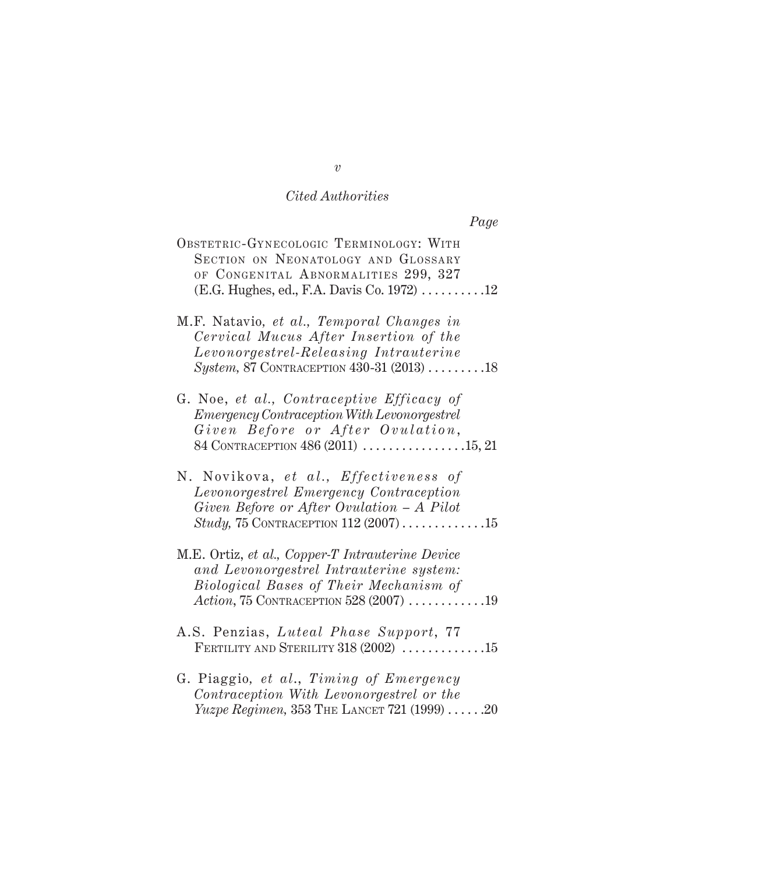| OBSTETRIC-GYNECOLOGIC TERMINOLOGY: WITH<br>SECTION ON NEONATOLOGY AND GLOSSARY<br>OF CONGENITAL ABNORMALITIES 299, 327                                                       |
|------------------------------------------------------------------------------------------------------------------------------------------------------------------------------|
| M.F. Natavio, et al., Temporal Changes in<br>Cervical Mucus After Insertion of the<br>Levonorgestrel-Releasing Intrauterine<br>System, 87 CONTRACEPTION $430-31$ $(2013)$ 18 |
| G. Noe, et al., Contraceptive Efficacy of<br><i>Emergency Contraception With Levonorgestrel</i><br>Given Before or After Ovulation,<br>84 CONTRACEPTION 486 (2011) 15, 21    |

*Page*

- N. Novikova, *et al., Ef fe c t iv e n e s s of Levonorgestrel Emergency Contraception Given Before or After Ovulation – A Pilot Study, 75* CONTRACEPTION 112 (2007) . . . . . . . . . . . . . 15
- M.E. Ortiz, *et al., Copper-T Intrauterine Device and Levonorgestrel Intrauterine system: Biological Bases of Their Mechanism of Action*, 75 CONTRACEPTION 528 (2007) . . . . . . . . . . . .19
- A.S. Penzias, *Luteal Phase Support*, 77 FERTILITY AND STERILITY  $318 (2002)$  .............15
- G. Piaggio*, et al*., *Timing of Emergency Contraception With Levonorgestrel or the Yuzpe Regimen, 353 THE LANCET 721 (1999)* . . . . . . 20

*v*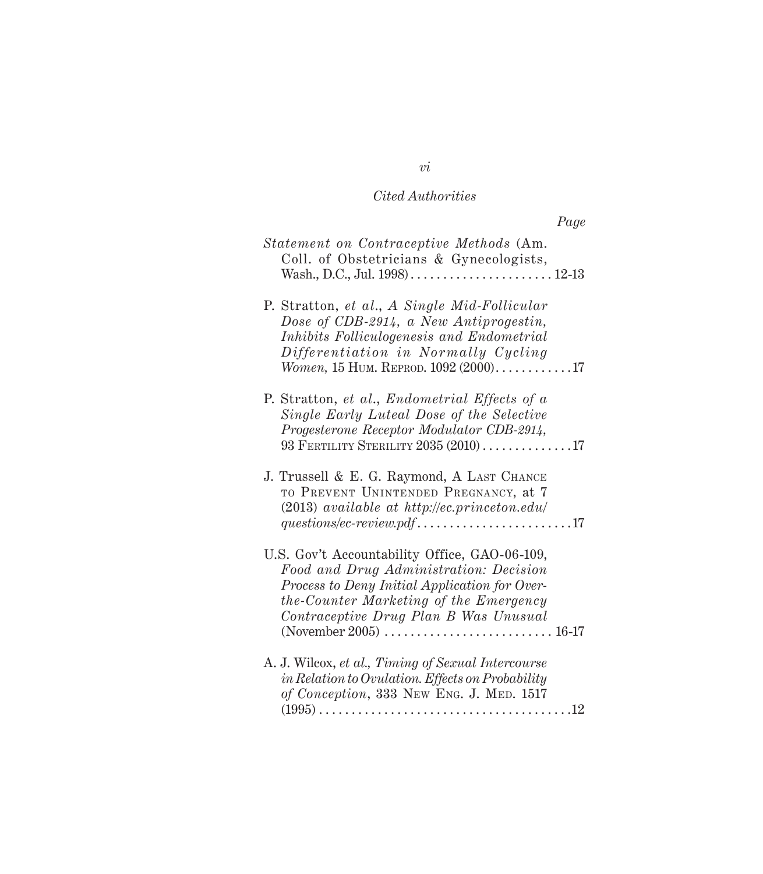|                                                                                                                                                                                                                              | Page |
|------------------------------------------------------------------------------------------------------------------------------------------------------------------------------------------------------------------------------|------|
| Statement on Contraceptive Methods (Am.<br>Coll. of Obstetricians & Gynecologists,                                                                                                                                           |      |
| P. Stratton, et al., A Single Mid-Follicular<br>Dose of CDB-2914, a New Antiprogestin,<br>Inhibits Folliculogenesis and Endometrial<br>Differentiation in Normally Cycling<br><i>Women</i> , 15 HUM. REPROD. $1092(2000)$ 17 |      |
| P. Stratton, et al., Endometrial Effects of a<br>Single Early Luteal Dose of the Selective<br>Progesterone Receptor Modulator CDB-2914,<br>93 FERTILITY STERILITY $2035(2010)$ 17                                            |      |
| J. Trussell & E. G. Raymond, A LAST CHANCE<br>TO PREVENT UNINTENDED PREGNANCY, at 7<br>$(2013)$ available at http://ec.princeton.edu/                                                                                        |      |
| U.S. Gov't Accountability Office, GAO-06-109,<br>Food and Drug Administration: Decision<br>Process to Deny Initial Application for Over-<br>the-Counter Marketing of the Emergency<br>Contraceptive Drug Plan B Was Unusual  |      |
| A. J. Wilcox, et al., Timing of Sexual Intercourse<br>in Relation to Ovulation. Effects on Probability<br>of Conception, 333 New Eng. J. MED. 1517                                                                           |      |

*vi*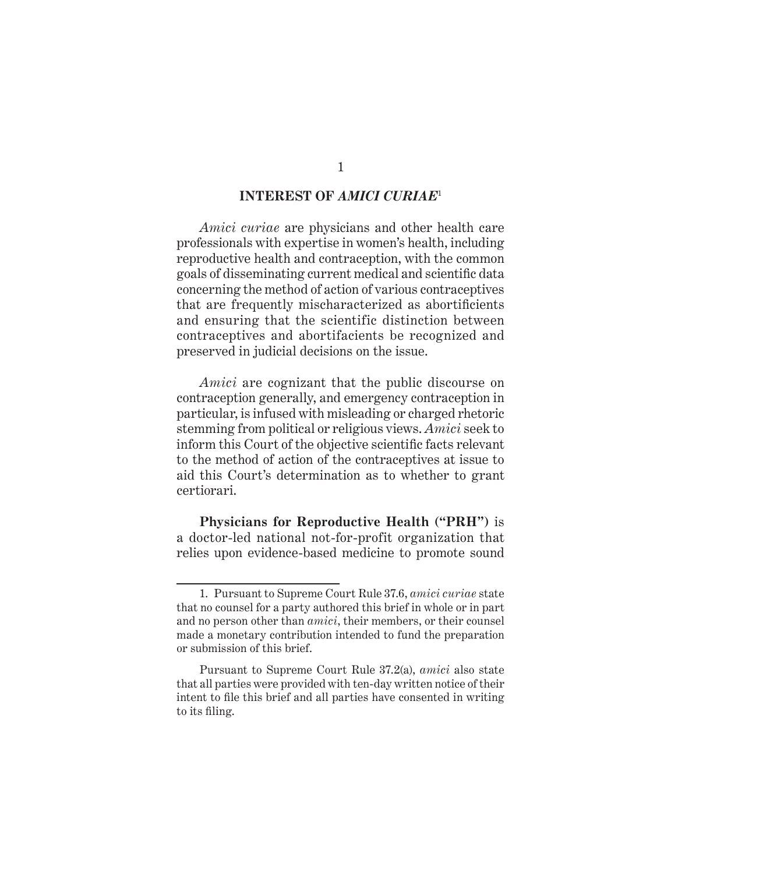### **INTEREST OF** *AMICI CURIAE*<sup>1</sup>

*Amici curiae* are physicians and other health care professionals with expertise in women's health, including reproductive health and contraception, with the common goals of disseminating current medical and scientific data concerning the method of action of various contraceptives that are frequently mischaracterized as abortificients and ensuring that the scientific distinction between contraceptives and abortifacients be recognized and preserved in judicial decisions on the issue.

*Amici* are cognizant that the public discourse on contraception generally, and emergency contraception in particular, is infused with misleading or charged rhetoric stemming from political or religious views. *Amici* seek to inform this Court of the objective scientific facts relevant to the method of action of the contraceptives at issue to aid this Court's determination as to whether to grant certiorari.

**Physicians for Reproductive Health ("PRH")** is a doctor-led national not-for-profit organization that relies upon evidence-based medicine to promote sound

<sup>1.</sup> Pursuant to Supreme Court Rule 37.6, *amici curiae* state that no counsel for a party authored this brief in whole or in part and no person other than *amici*, their members, or their counsel made a monetary contribution intended to fund the preparation or submission of this brief.

Pursuant to Supreme Court Rule 37.2(a), *amici* also state that all parties were provided with ten-day written notice of their intent to file this brief and all parties have consented in writing to its filing.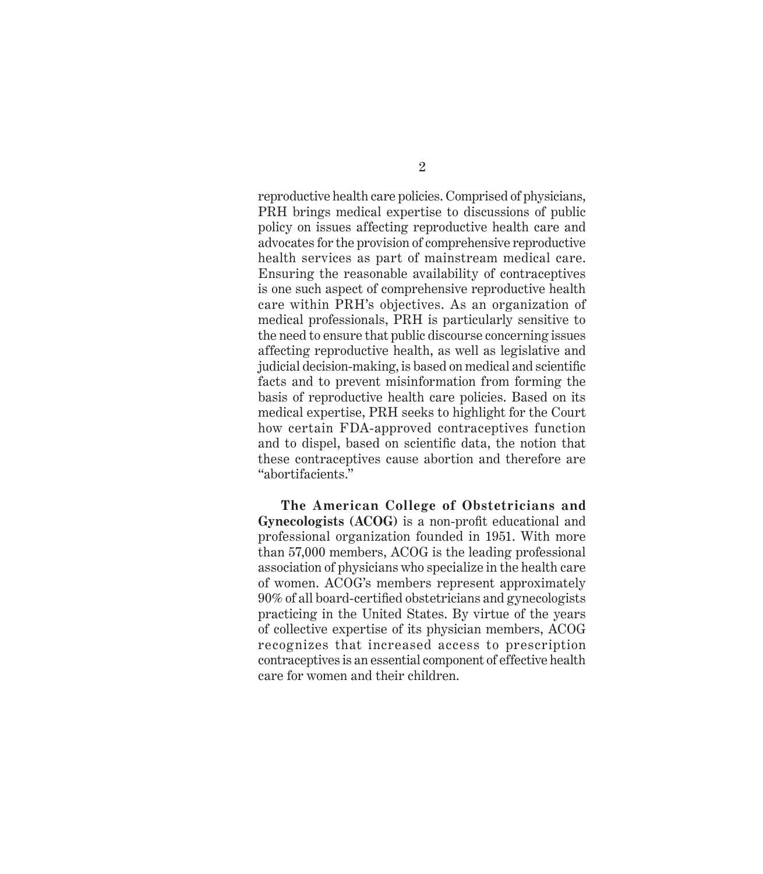reproductive health care policies. Comprised of physicians, PRH brings medical expertise to discussions of public policy on issues affecting reproductive health care and advocates for the provision of comprehensive reproductive health services as part of mainstream medical care. Ensuring the reasonable availability of contraceptives is one such aspect of comprehensive reproductive health care within PRH's objectives. As an organization of medical professionals, PRH is particularly sensitive to the need to ensure that public discourse concerning issues affecting reproductive health, as well as legislative and judicial decision-making, is based on medical and scientific facts and to prevent misinformation from forming the basis of reproductive health care policies. Based on its medical expertise, PRH seeks to highlight for the Court how certain FDA-approved contraceptives function and to dispel, based on scientific data, the notion that these contraceptives cause abortion and therefore are "abortifacients."

**The American College of Obstetricians and Gynecologists (ACOG)** is a non-profit educational and professional organization founded in 1951. With more than 57,000 members, ACOG is the leading professional association of physicians who specialize in the health care of women. ACOG's members represent approximately 90% of all board-certified obstetricians and gynecologists practicing in the United States. By virtue of the years of collective expertise of its physician members, ACOG recognizes that increased access to prescription contraceptives is an essential component of effective health care for women and their children.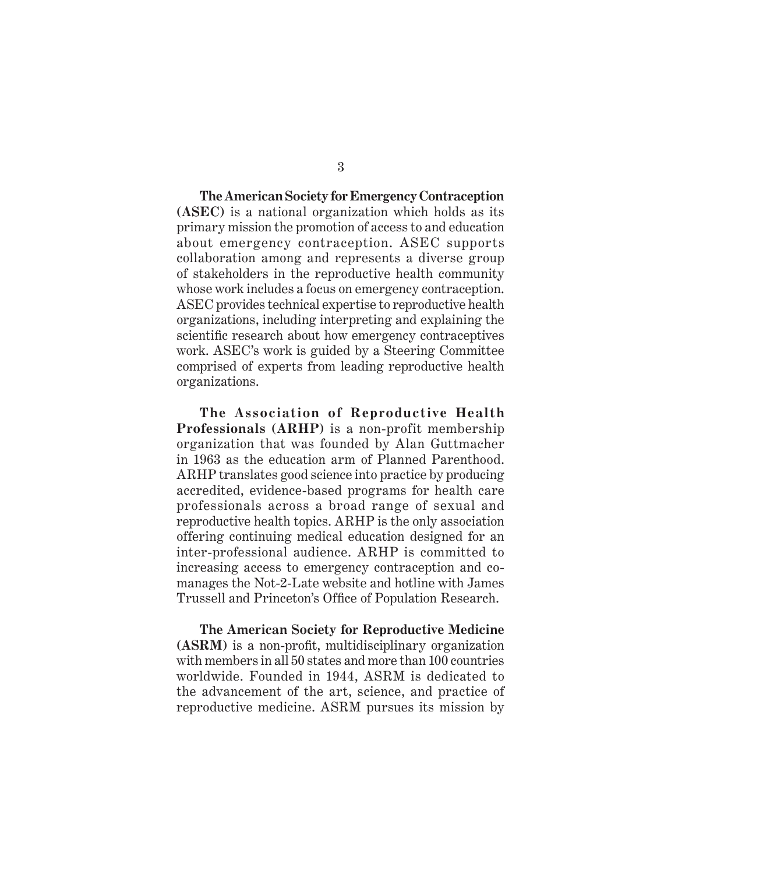**The American Society for Emergency Contraception (ASEC)** is a national organization which holds as its primary mission the promotion of access to and education about emergency contraception. ASEC supports collaboration among and represents a diverse group of stakeholders in the reproductive health community whose work includes a focus on emergency contraception. ASEC provides technical expertise to reproductive health organizations, including interpreting and explaining the scientific research about how emergency contraceptives work. ASEC's work is guided by a Steering Committee comprised of experts from leading reproductive health organizations.

**The Association of Reproductive Health Professionals (ARHP)** is a non-profit membership organization that was founded by Alan Guttmacher in 1963 as the education arm of Planned Parenthood. ARHP translates good science into practice by producing accredited, evidence-based programs for health care professionals across a broad range of sexual and reproductive health topics. ARHP is the only association offering continuing medical education designed for an inter-professional audience. ARHP is committed to increasing access to emergency contraception and comanages the Not-2-Late website and hotline with James Trussell and Princeton's Office of Population Research.

**The American Society for Reproductive Medicine (ASRM)** is a non-profit, multidisciplinary organization with members in all 50 states and more than 100 countries worldwide. Founded in 1944, ASRM is dedicated to the advancement of the art, science, and practice of reproductive medicine. ASRM pursues its mission by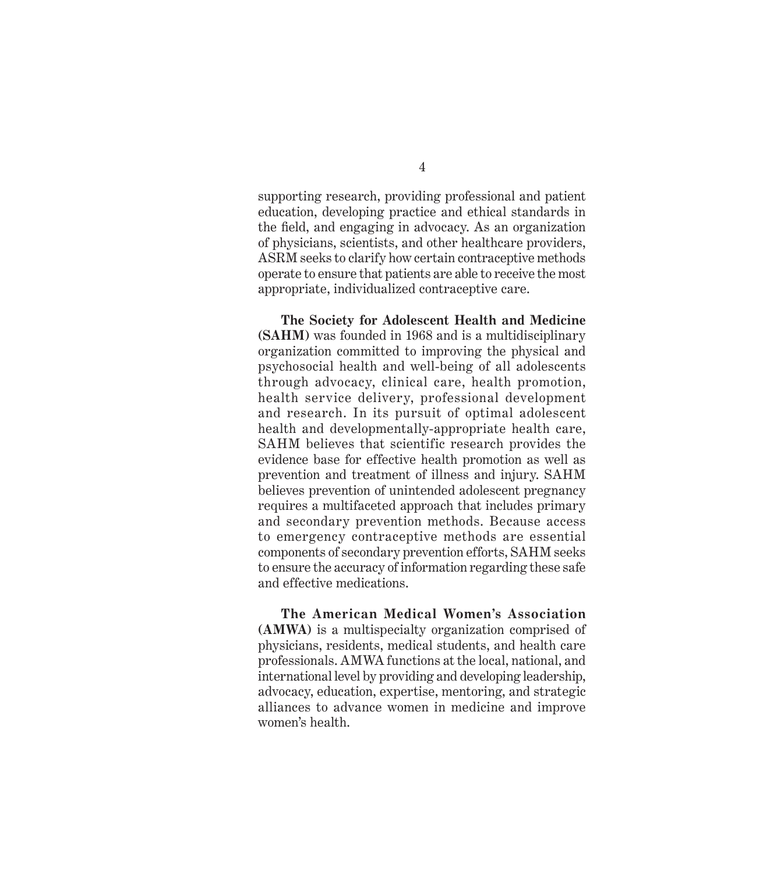supporting research, providing professional and patient education, developing practice and ethical standards in the field, and engaging in advocacy. As an organization of physicians, scientists, and other healthcare providers, ASRM seeks to clarify how certain contraceptive methods operate to ensure that patients are able to receive the most appropriate, individualized contraceptive care.

**The Society for Adolescent Health and Medicine (SAHM)** was founded in 1968 and is a multidisciplinary organization committed to improving the physical and psychosocial health and well-being of all adolescents through advocacy, clinical care, health promotion, health service delivery, professional development and research. In its pursuit of optimal adolescent health and developmentally-appropriate health care, SAHM believes that scientific research provides the evidence base for effective health promotion as well as prevention and treatment of illness and injury. SAHM believes prevention of unintended adolescent pregnancy requires a multifaceted approach that includes primary and secondary prevention methods. Because access to emergency contraceptive methods are essential components of secondary prevention efforts, SAHM seeks to ensure the accuracy of information regarding these safe and effective medications.

**The American Medical Women's Association (AMWA)** is a multispecialty organization comprised of physicians, residents, medical students, and health care professionals. AMWA functions at the local, national, and international level by providing and developing leadership, advocacy, education, expertise, mentoring, and strategic alliances to advance women in medicine and improve women's health.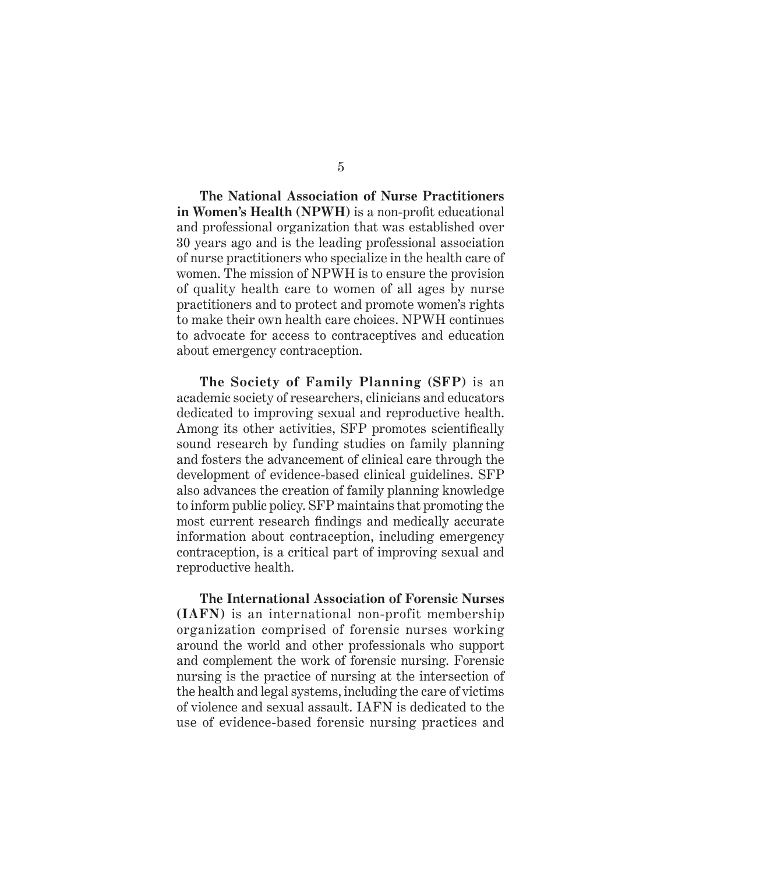**The National Association of Nurse Practitioners**  in Women's Health (NPWH) is a non-profit educational and professional organization that was established over 30 years ago and is the leading professional association of nurse practitioners who specialize in the health care of women. The mission of NPWH is to ensure the provision of quality health care to women of all ages by nurse practitioners and to protect and promote women's rights to make their own health care choices. NPWH continues to advocate for access to contraceptives and education about emergency contraception.

**The Society of Family Planning (SFP)** is an academic society of researchers, clinicians and educators dedicated to improving sexual and reproductive health. Among its other activities, SFP promotes scientifically sound research by funding studies on family planning and fosters the advancement of clinical care through the development of evidence-based clinical guidelines. SFP also advances the creation of family planning knowledge to inform public policy. SFP maintains that promoting the most current research findings and medically accurate information about contraception, including emergency contraception, is a critical part of improving sexual and reproductive health.

**The International Association of Forensic Nurses (IAFN)** is an international non-profit membership organization comprised of forensic nurses working around the world and other professionals who support and complement the work of forensic nursing. Forensic nursing is the practice of nursing at the intersection of the health and legal systems, including the care of victims of violence and sexual assault. IAFN is dedicated to the use of evidence-based forensic nursing practices and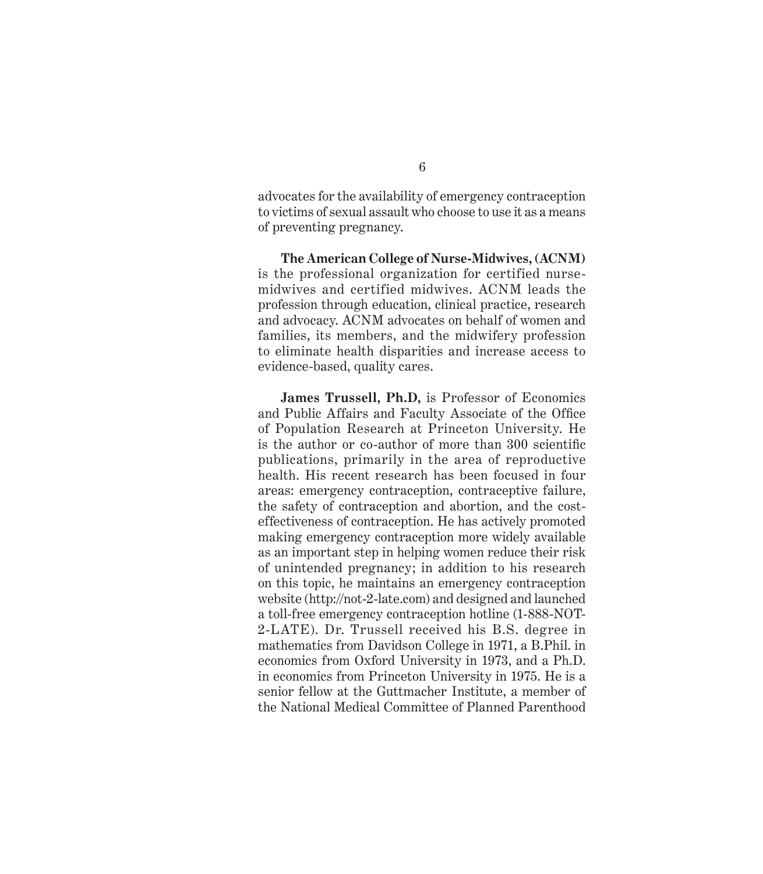advocates for the availability of emergency contraception to victims of sexual assault who choose to use it as a means of preventing pregnancy.

**The American College of Nurse-Midwives, (ACNM)** is the professional organization for certified nursemidwives and certified midwives. ACNM leads the profession through education, clinical practice, research and advocacy. ACNM advocates on behalf of women and families, its members, and the midwifery profession to eliminate health disparities and increase access to evidence-based, quality cares.

**James Trussell, Ph.D,** is Professor of Economics and Public Affairs and Faculty Associate of the Office of Population Research at Princeton University. He is the author or co-author of more than  $300$  scientific publications, primarily in the area of reproductive health. His recent research has been focused in four areas: emergency contraception, contraceptive failure, the safety of contraception and abortion, and the costeffectiveness of contraception. He has actively promoted making emergency contraception more widely available as an important step in helping women reduce their risk of unintended pregnancy; in addition to his research on this topic, he maintains an emergency contraception website ( http://not-2-late.com) and designed and launched a toll-free emergency contraception hotline (1-888-NOT-2-LATE). Dr. Trussell received his B.S. degree in mathematics from Davidson College in 1971, a B.Phil. in economics from Oxford University in 1973, and a Ph.D. in economics from Princeton University in 1975. He is a senior fellow at the Guttmacher Institute, a member of the National Medical Committee of Planned Parenthood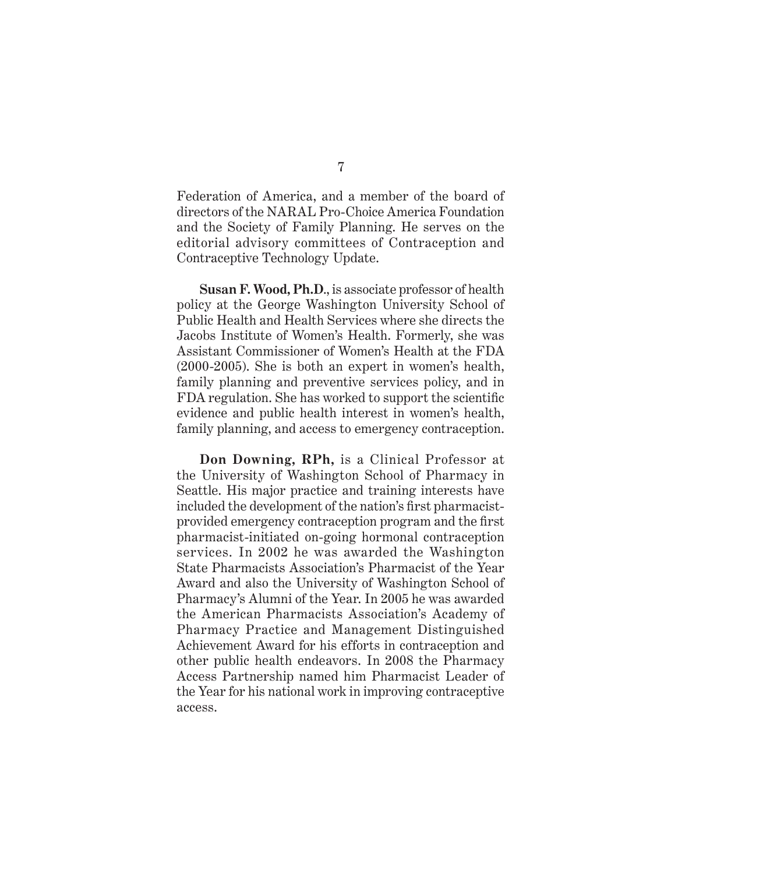Federation of America, and a member of the board of directors of the NARAL Pro-Choice America Foundation and the Society of Family Planning. He serves on the editorial advisory committees of Contraception and Contraceptive Technology Update.

**Susan F. Wood, Ph.D**., is associate professor of health policy at the George Washington University School of Public Health and Health Services where she directs the Jacobs Institute of Women's Health. Formerly, she was Assistant Commissioner of Women's Health at the FDA (2000-2005). She is both an expert in women's health, family planning and preventive services policy, and in FDA regulation. She has worked to support the scientific evidence and public health interest in women's health, family planning, and access to emergency contraception.

**Don Downing, RPh,** is a Clinical Professor at the University of Washington School of Pharmacy in Seattle. His major practice and training interests have included the development of the nation's first pharmacistprovided emergency contraception program and the first pharmacist-initiated on-going hormonal contraception services. In 2002 he was awarded the Washington State Pharmacists Association's Pharmacist of the Year Award and also the University of Washington School of Pharmacy's Alumni of the Year. In 2005 he was awarded the American Pharmacists Association's Academy of Pharmacy Practice and Management Distinguished Achievement Award for his efforts in contraception and other public health endeavors. In 2008 the Pharmacy Access Partnership named him Pharmacist Leader of the Year for his national work in improving contraceptive access.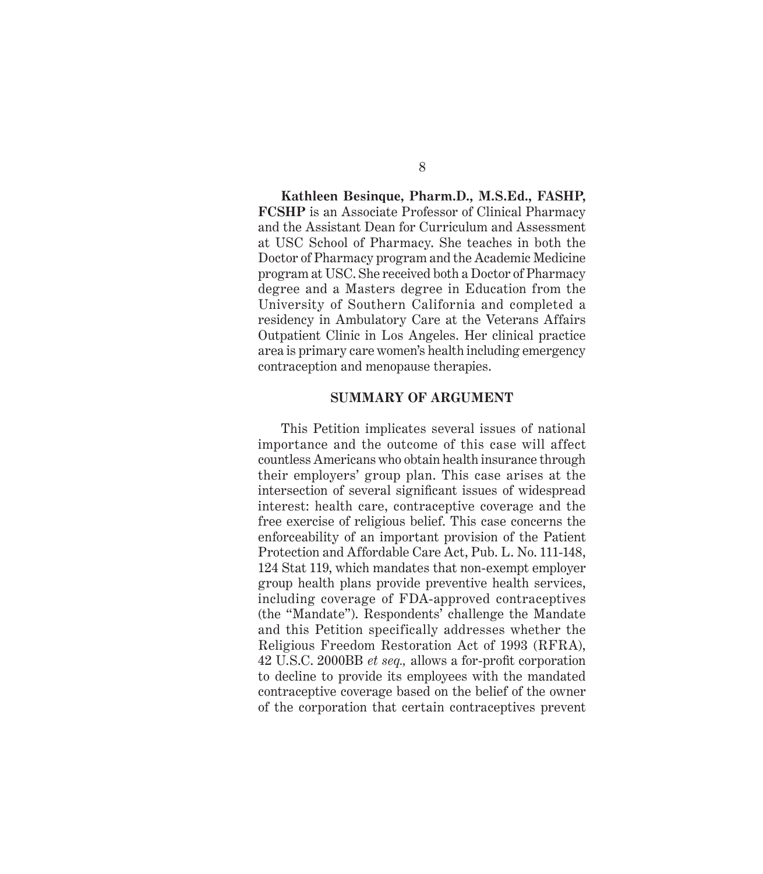**Kathleen Besinque, Pharm.D., M.S.Ed., FASHP, FCSHP** is an Associate Professor of Clinical Pharmacy and the Assistant Dean for Curriculum and Assessment at USC School of Pharmacy. She teaches in both the Doctor of Pharmacy program and the Academic Medicine program at USC. She received both a Doctor of Pharmacy degree and a Masters degree in Education from the University of Southern California and completed a residency in Ambulatory Care at the Veterans Affairs Outpatient Clinic in Los Angeles. Her clinical practice area is primary care women's health including emergency contraception and menopause therapies.

#### **SUMMARY OF ARGUMENT**

This Petition implicates several issues of national importance and the outcome of this case will affect countless Americans who obtain health insurance through their employers' group plan. This case arises at the intersection of several significant issues of widespread interest: health care, contraceptive coverage and the free exercise of religious belief. This case concerns the enforceability of an important provision of the Patient Protection and Affordable Care Act, Pub. L. No. 111-148, 124 Stat 119, which mandates that non-exempt employer group health plans provide preventive health services, including coverage of FDA-approved contraceptives (the "Mandate"). Respondents' challenge the Mandate and this Petition specifically addresses whether the Religious Freedom Restoration Act of 1993 (RFRA), 42 U.S.C. 2000BB *et seq.,* allows a for-profi t corporation to decline to provide its employees with the mandated contraceptive coverage based on the belief of the owner of the corporation that certain contraceptives prevent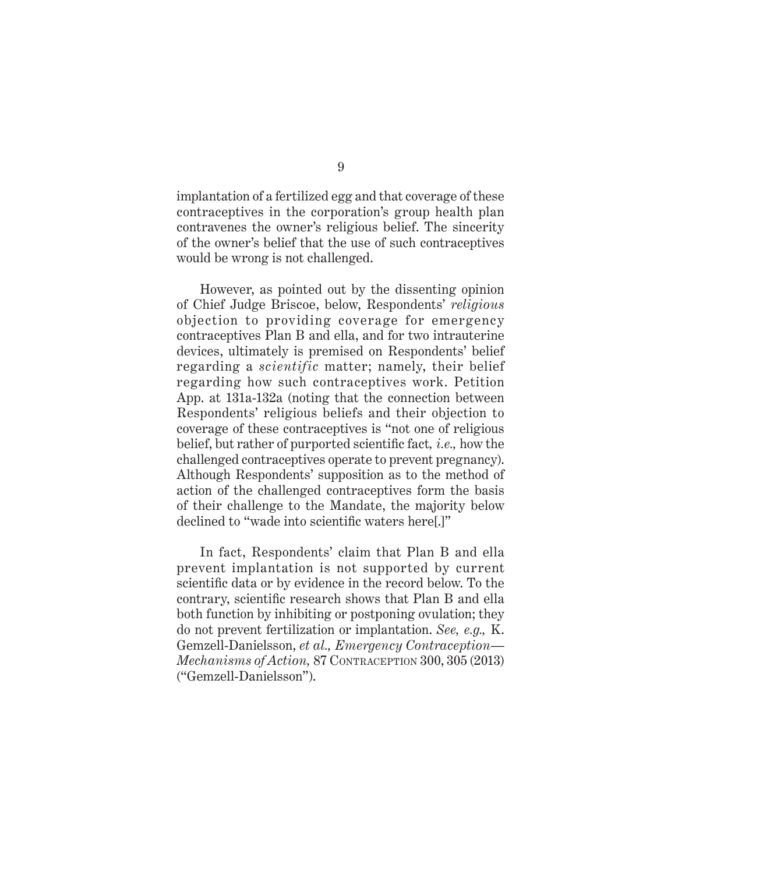implantation of a fertilized egg and that coverage of these contraceptives in the corporation's group health plan contravenes the owner's religious belief. The sincerity of the owner's belief that the use of such contraceptives would be wrong is not challenged.

However, as pointed out by the dissenting opinion of Chief Judge Briscoe, below, Respondents' *religious* objection to providing coverage for emergency contraceptives Plan B and ella, and for two intrauterine devices, ultimately is premised on Respondents' belief regarding a *scientific* matter; namely, their belief regarding how such contraceptives work. Petition App. at 131a-132a (noting that the connection between Respondents' religious beliefs and their objection to coverage of these contraceptives is "not one of religious belief, but rather of purported scientific fact, *i.e.*, how the challenged contraceptives operate to prevent pregnancy). Although Respondents' supposition as to the method of action of the challenged contraceptives form the basis of their challenge to the Mandate, the majority below declined to "wade into scientific waters here.]"

In fact, Respondents' claim that Plan B and ella prevent implantation is not supported by current scientific data or by evidence in the record below. To the contrary, scientific research shows that Plan B and ella both function by inhibiting or postponing ovulation; they do not prevent fertilization or implantation. *See, e.g.,* K. Gemzell-Danielsson, *et al., Emergency Contraception— Mechanisms of Action,* 87 CONTRACEPTION 300, 305 (2013) ("Gemzell-Danielsson").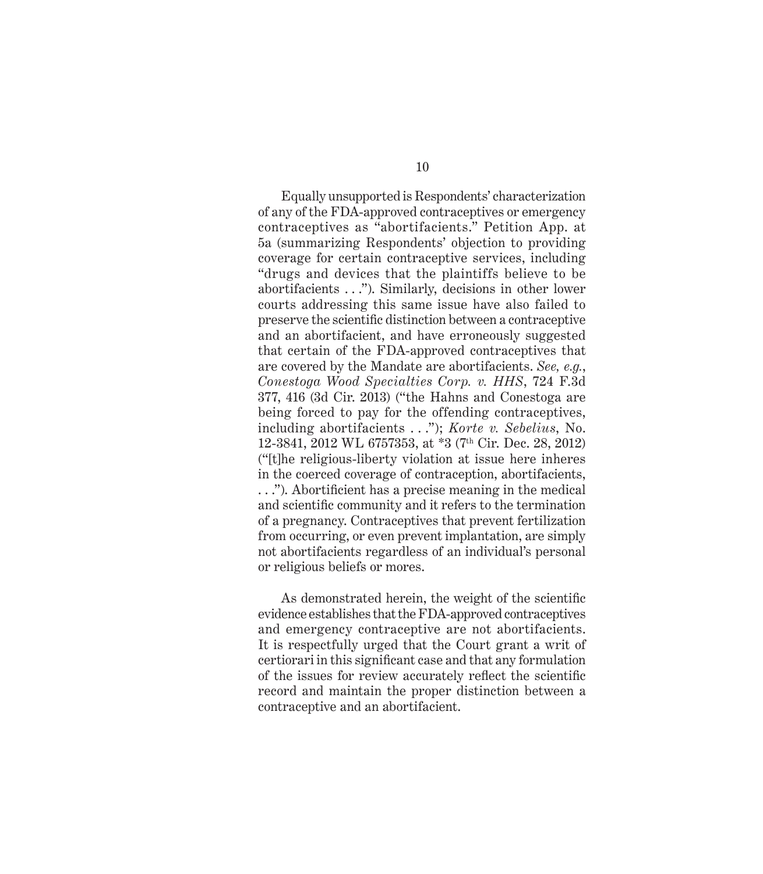Equally unsupported is Respondents' characterization of any of the FDA-approved contraceptives or emergency contraceptives as "abortifacients." Petition App. at 5a (summarizing Respondents' objection to providing coverage for certain contraceptive services, including "drugs and devices that the plaintiffs believe to be abortifacients . . ."). Similarly, decisions in other lower courts addressing this same issue have also failed to preserve the scientific distinction between a contraceptive and an abortifacient, and have erroneously suggested that certain of the FDA-approved contraceptives that are covered by the Mandate are abortifacients. *See, e.g.*, *Conestoga Wood Specialties Corp. v. HHS*, 724 F.3d 377, 416 (3d Cir. 2013) ("the Hahns and Conestoga are being forced to pay for the offending contraceptives, including abortifacients . . ."); *Korte v. Sebelius*, No. 12-3841, 2012 WL 6757353, at \*3 (7th Cir. Dec. 28, 2012) ("[t]he religious-liberty violation at issue here inheres in the coerced coverage of contraception, abortifacients, ..."). Abortificient has a precise meaning in the medical and scientific community and it refers to the termination of a pregnancy. Contraceptives that prevent fertilization from occurring, or even prevent implantation, are simply not abortifacients regardless of an individual's personal or religious beliefs or mores.

As demonstrated herein, the weight of the scientific evidence establishes that the FDA-approved contraceptives and emergency contraceptive are not abortifacients. It is respectfully urged that the Court grant a writ of certiorari in this significant case and that any formulation of the issues for review accurately reflect the scientific record and maintain the proper distinction between a contraceptive and an abortifacient.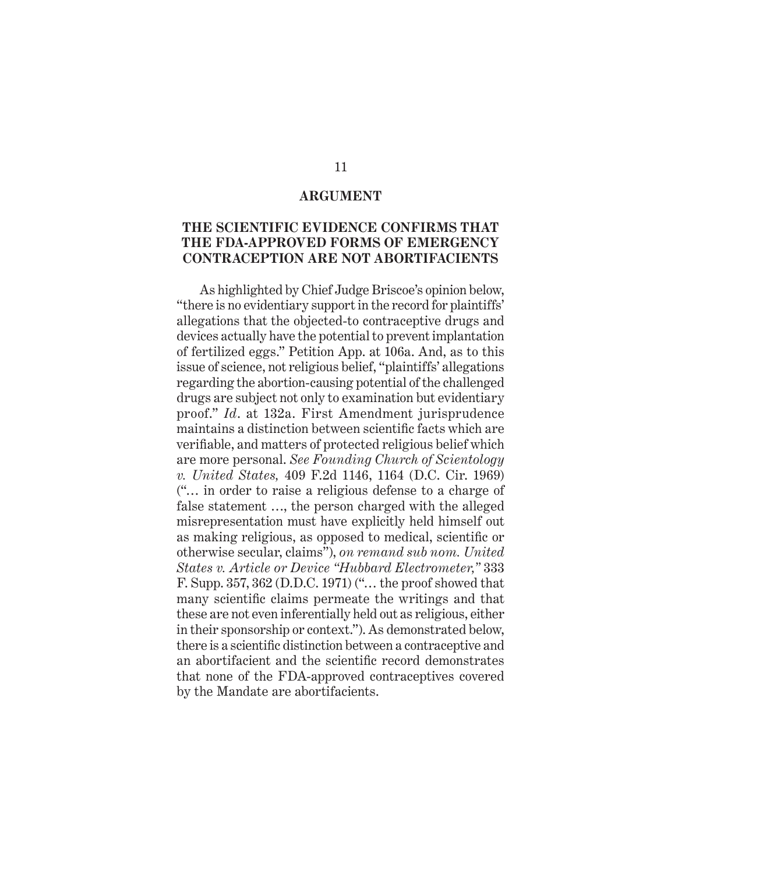#### **ARGUMENT**

### **THE SCIENTIFIC EVIDENCE CONFIRMS THAT THE FDA-APPROVED FORMS OF EMERGENCY CONTRACEPTION ARE NOT ABORTIFACIENTS**

As highlighted by Chief Judge Briscoe's opinion below, "there is no evidentiary support in the record for plaintiffs' allegations that the objected-to contraceptive drugs and devices actually have the potential to prevent implantation of fertilized eggs." Petition App. at 106a. And, as to this issue of science, not religious belief, "plaintiffs' allegations regarding the abortion-causing potential of the challenged drugs are subject not only to examination but evidentiary proof." *Id*. at 132a. First Amendment jurisprudence maintains a distinction between scientific facts which are verifiable, and matters of protected religious belief which are more personal. *See Founding Church of Scientology v. United States,* 409 F.2d 1146, 1164 (D.C. Cir. 1969) ("… in order to raise a religious defense to a charge of false statement …, the person charged with the alleged misrepresentation must have explicitly held himself out as making religious, as opposed to medical, scientific or otherwise secular, claims"), *on remand sub nom. United States v. Article or Device "Hubbard Electrometer,"* 333 F. Supp. 357, 362 (D.D.C. 1971) ("… the proof showed that many scientific claims permeate the writings and that these are not even inferentially held out as religious, either in their sponsorship or context."). As demonstrated below, there is a scientific distinction between a contraceptive and an abortifacient and the scientific record demonstrates that none of the FDA-approved contraceptives covered by the Mandate are abortifacients.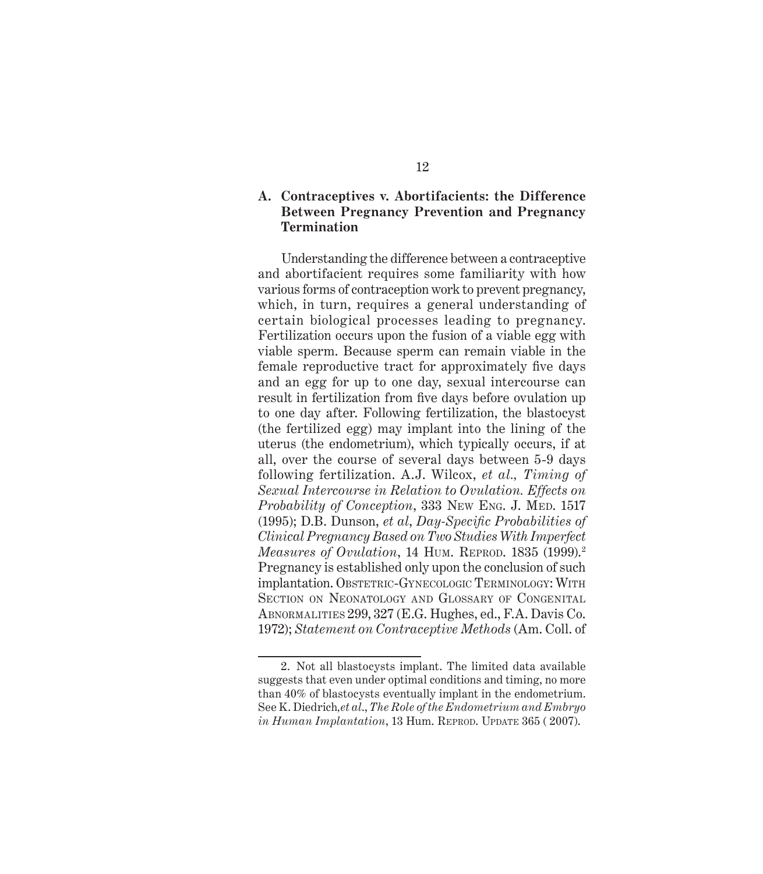### **A. Contraceptives v. Abortifacients: the Difference Between Pregnancy Prevention and Pregnancy Termination**

Understanding the difference between a contraceptive and abortifacient requires some familiarity with how various forms of contraception work to prevent pregnancy, which, in turn, requires a general understanding of certain biological processes leading to pregnancy. Fertilization occurs upon the fusion of a viable egg with viable sperm. Because sperm can remain viable in the female reproductive tract for approximately five days and an egg for up to one day, sexual intercourse can result in fertilization from five days before ovulation up to one day after. Following fertilization, the blastocyst (the fertilized egg) may implant into the lining of the uterus (the endometrium), which typically occurs, if at all, over the course of several days between 5-9 days following fertilization. A.J. Wilcox, *et al., Timing of Sexual Intercourse in Relation to Ovulation. Effects on Probability of Conception*, 333 NEW ENG. J. MED. 1517 (1995); D.B. Dunson, *et al* , *Day-Specifi c Probabilities of Clinical Pregnancy Based on Two Studies With Imperfect Measures of Ovulation*, 14 HUM. REPROD. 1835 (1999).<sup>2</sup> Pregnancy is established only upon the conclusion of such implantation. OBSTETRIC-GYNECOLOGIC TERMINOLOGY: WITH SECTION ON NEONATOLOGY AND GLOSSARY OF CONGENITAL ABNORMALITIES 299, 327 (E.G. Hughes, ed., F.A. Davis Co. 1972); *Statement on Contraceptive Methods* (Am. Coll. of

<sup>2.</sup> Not all blastocysts implant. The limited data available suggests that even under optimal conditions and timing, no more than 40% of blastocysts eventually implant in the endometrium. See K. Diedrich*,et al*., *The Role of the Endometrium and Embryo in Human Implantation*, 13 Hum. REPROD. UPDATE 365 ( 2007).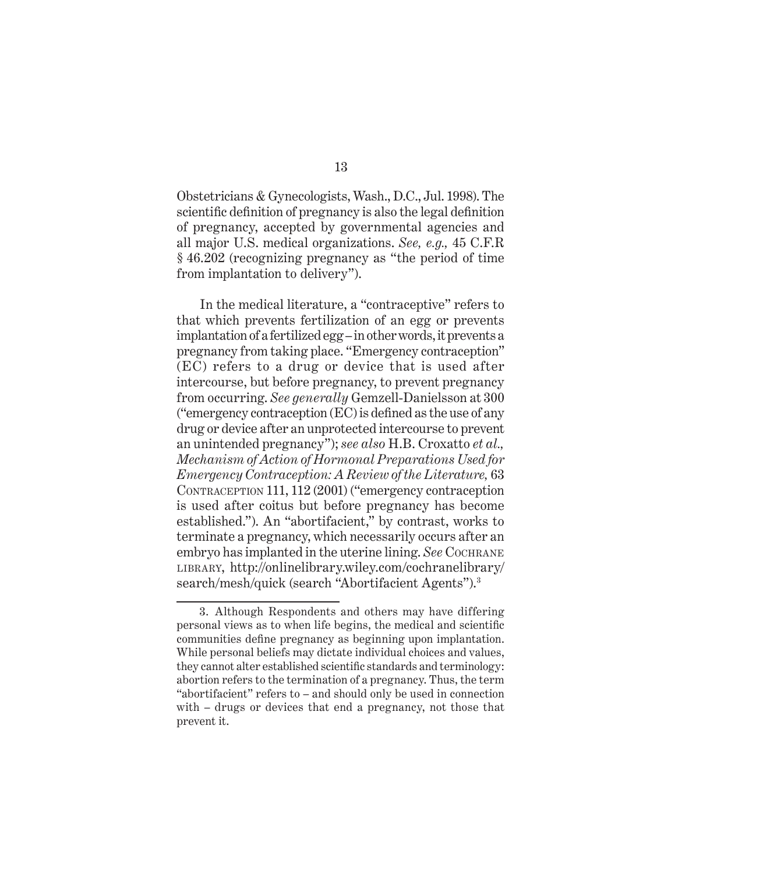Obstetricians & Gynecologists, Wash., D.C., Jul. 1998). The scientific definition of pregnancy is also the legal definition of pregnancy, accepted by governmental agencies and all major U.S. medical organizations. *See, e.g.,* 45 C.F.R § 46.202 (recognizing pregnancy as "the period of time from implantation to delivery").

In the medical literature, a "contraceptive" refers to that which prevents fertilization of an egg or prevents implantation of a fertilized egg – in other words, it prevents a pregnancy from taking place. "Emergency contraception" (EC) refers to a drug or device that is used after intercourse, but before pregnancy, to prevent pregnancy from occurring. *See generally* Gemzell-Danielsson at 300 ("emergency contraception  $(EC)$  is defined as the use of any drug or device after an unprotected intercourse to prevent an unintended pregnancy"); *see also* H.B. Croxatto *et al., Mechanism of Action of Hormonal Preparations Used for Emergency Contraception: A Review of the Literature,* 63 CONTRACEPTION 111, 112 (2001) ("emergency contraception is used after coitus but before pregnancy has become established."). An "abortifacient," by contrast, works to terminate a pregnancy, which necessarily occurs after an embryo has implanted in the uterine lining. *See* COCHRANE LIBRARY, http://onlinelibrary.wiley.com/cochranelibrary/ search/mesh/quick (search "Abortifacient Agents").<sup>3</sup>

<sup>3.</sup> Although Respondents and others may have differing personal views as to when life begins, the medical and scientific communities define pregnancy as beginning upon implantation. While personal beliefs may dictate individual choices and values, they cannot alter established scientific standards and terminology: abortion refers to the termination of a pregnancy. Thus, the term "abortifacient" refers to – and should only be used in connection with – drugs or devices that end a pregnancy, not those that prevent it.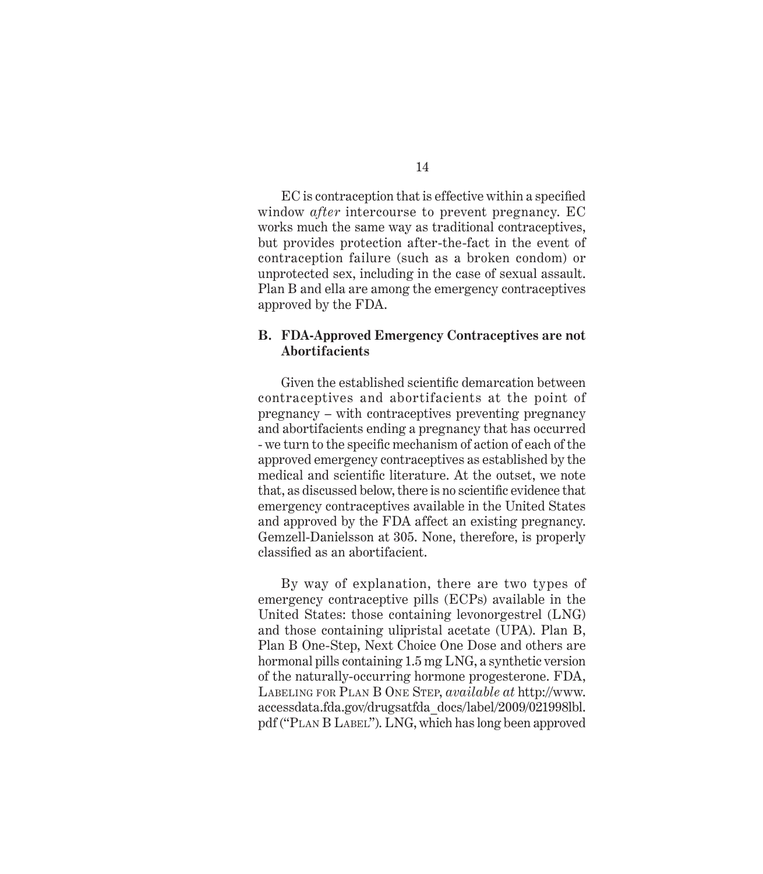EC is contraception that is effective within a specified window *after* intercourse to prevent pregnancy. EC works much the same way as traditional contraceptives, but provides protection after-the-fact in the event of contraception failure (such as a broken condom) or unprotected sex, including in the case of sexual assault. Plan B and ella are among the emergency contraceptives approved by the FDA.

### **B. FDA-Approved Emergency Contraceptives are not Abortifacients**

Given the established scientific demarcation between contraceptives and abortifacients at the point of pregnancy – with contraceptives preventing pregnancy and abortifacients ending a pregnancy that has occurred - we turn to the specific mechanism of action of each of the approved emergency contraceptives as established by the medical and scientific literature. At the outset, we note that, as discussed below, there is no scientific evidence that emergency contraceptives available in the United States and approved by the FDA affect an existing pregnancy. Gemzell-Danielsson at 305. None, therefore, is properly classified as an abortifacient.

By way of explanation, there are two types of emergency contraceptive pills (ECPs) available in the United States: those containing levonorgestrel (LNG) and those containing ulipristal acetate (UPA). Plan B, Plan B One-Step, Next Choice One Dose and others are hormonal pills containing 1.5 mg LNG, a synthetic version of the naturally-occurring hormone progesterone. FDA, LABELING FOR PLAN B ONE STEP, *available at* http://www. accessdata.fda.gov/drugsatfda\_docs/label/2009/021998lbl. pdf ("PLAN B LABEL"). LNG, which has long been approved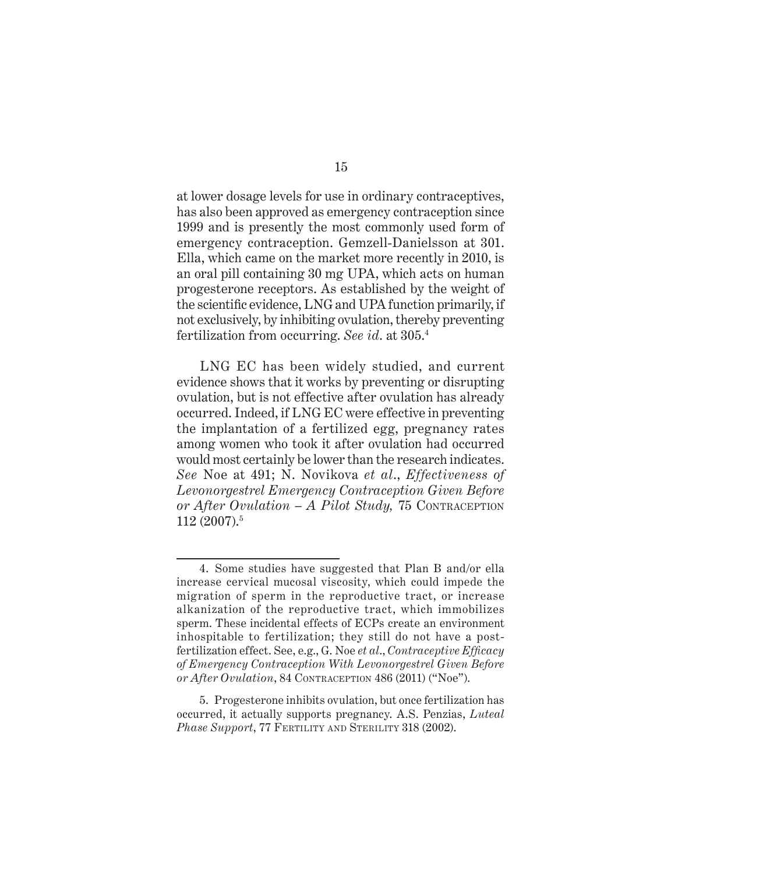at lower dosage levels for use in ordinary contraceptives, has also been approved as emergency contraception since 1999 and is presently the most commonly used form of emergency contraception. Gemzell-Danielsson at 301. Ella, which came on the market more recently in 2010, is an oral pill containing 30 mg UPA, which acts on human progesterone receptors. As established by the weight of the scientific evidence, LNG and UPA function primarily, if not exclusively, by inhibiting ovulation, thereby preventing fertilization from occurring. *See id*. at 305.4

LNG EC has been widely studied, and current evidence shows that it works by preventing or disrupting ovulation, but is not effective after ovulation has already occurred. Indeed, if LNG EC were effective in preventing the implantation of a fertilized egg, pregnancy rates among women who took it after ovulation had occurred would most certainly be lower than the research indicates. *See* Noe at 491; N. Novikova *et al*., *Effectiveness of Levonorgestrel Emergency Contraception Given Before or After Ovulation – A Pilot Study,* 75 CONTRACEPTION 112 (2007).5

<sup>4.</sup> Some studies have suggested that Plan B and/or ella increase cervical mucosal viscosity, which could impede the migration of sperm in the reproductive tract, or increase alkanization of the reproductive tract, which immobilizes sperm. These incidental effects of ECPs create an environment inhospitable to fertilization; they still do not have a postfertilization effect. See, e.g., G. Noe *et al.*, *Contraceptive Efficacy of Emergency Contraception With Levonorgestrel Given Before or After Ovulation*, 84 CONTRACEPTION 486 (2011) ("Noe").

<sup>5.</sup> Progesterone inhibits ovulation, but once fertilization has occurred, it actually supports pregnancy. A.S. Penzias, *Luteal Phase Support*, 77 FERTILITY AND STERILITY 318 (2002).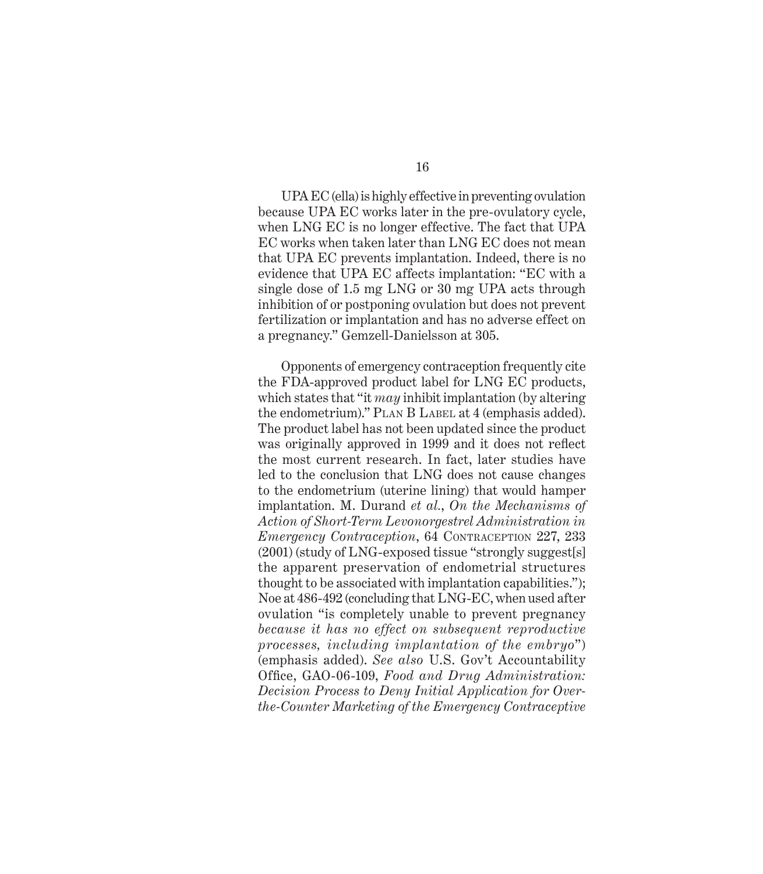16

UPA EC (ella) is highly effective in preventing ovulation because UPA EC works later in the pre-ovulatory cycle, when LNG EC is no longer effective. The fact that UPA EC works when taken later than LNG EC does not mean that UPA EC prevents implantation. Indeed, there is no evidence that UPA EC affects implantation: "EC with a single dose of 1.5 mg LNG or 30 mg UPA acts through inhibition of or postponing ovulation but does not prevent fertilization or implantation and has no adverse effect on a pregnancy." Gemzell-Danielsson at 305.

Opponents of emergency contraception frequently cite the FDA-approved product label for LNG EC products, which states that "it *may* inhibit implantation (by altering the endometrium)." PLAN B LABEL at 4 (emphasis added). The product label has not been updated since the product was originally approved in 1999 and it does not reflect the most current research. In fact, later studies have led to the conclusion that LNG does not cause changes to the endometrium (uterine lining) that would hamper implantation. M. Durand *et al.*, *On the Mechanisms of Action of Short-Term Levonorgestrel Administration in Emergency Contraception*, 64 CONTRACEPTION 227, 233 (2001) (study of LNG-exposed tissue "strongly suggest[s] the apparent preservation of endometrial structures thought to be associated with implantation capabilities."); Noe at 486-492 (concluding that LNG-EC, when used after ovulation "is completely unable to prevent pregnancy *because it has no effect on subsequent reproductive processes, including implantation of the embryo*") (emphasis added). *See also* U.S. Gov't Accountability Office, GAO-06-109, Food and Drug Administration: *Decision Process to Deny Initial Application for Overthe-Counter Marketing of the Emergency Contraceptive*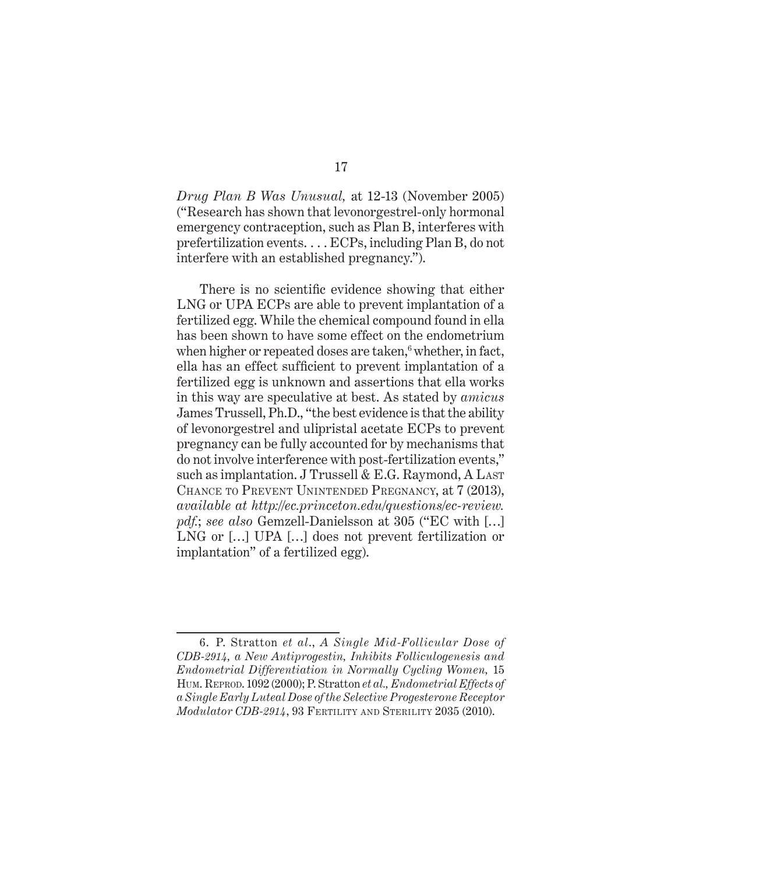*Drug Plan B Was Unusual,* at 12-13 (November 2005) ("Research has shown that levonorgestrel-only hormonal emergency contraception, such as Plan B, interferes with prefertilization events. . . . ECPs, including Plan B, do not interfere with an established pregnancy.").

There is no scientific evidence showing that either LNG or UPA ECPs are able to prevent implantation of a fertilized egg. While the chemical compound found in ella has been shown to have some effect on the endometrium when higher or repeated doses are taken,<sup>6</sup> whether, in fact, ella has an effect sufficient to prevent implantation of a fertilized egg is unknown and assertions that ella works in this way are speculative at best. As stated by *amicus* James Trussell, Ph.D., "the best evidence is that the ability of levonorgestrel and ulipristal acetate ECPs to prevent pregnancy can be fully accounted for by mechanisms that do not involve interference with post-fertilization events," such as implantation. J Trussell & E.G. Raymond, A LAST CHANCE TO PREVENT UNINTENDED PREGNANCY, at 7 (2013), *available at http://ec.princeton.edu/questions/ec-review. pdf.*; *see also* Gemzell-Danielsson at 305 ("EC with […] LNG or […] UPA […] does not prevent fertilization or implantation" of a fertilized egg).

<sup>6.</sup> P. Stratton *et al*., *A Single Mid-Follicular Dose of CDB-2914, a New Antiprogestin, Inhibits Folliculogenesis and Endometrial Differentiation in Normally Cycling Women,* 15 HUM. REPROD. 1092 (2000); P. Stratton *et al., Endometrial Effects of a Single Early Luteal Dose of the Selective Progesterone Receptor Modulator CDB-2914*, 93 FERTILITY AND STERILITY 2035 (2010).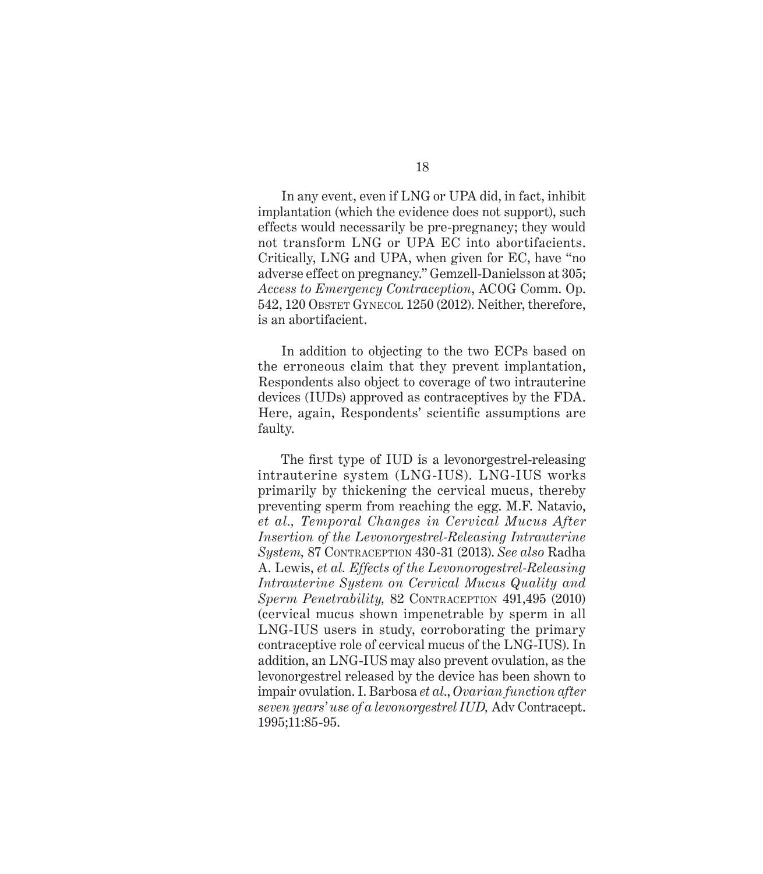In any event, even if LNG or UPA did, in fact, inhibit implantation (which the evidence does not support), such effects would necessarily be pre-pregnancy; they would not transform LNG or UPA EC into abortifacients. Critically, LNG and UPA, when given for EC, have "no adverse effect on pregnancy." Gemzell-Danielsson at 305; *Access to Emergency Contraception*, ACOG Comm. Op. 542, 120 OBSTET GYNECOL 1250 (2012). Neither, therefore, is an abortifacient.

In addition to objecting to the two ECPs based on the erroneous claim that they prevent implantation, Respondents also object to coverage of two intrauterine devices (IUDs) approved as contraceptives by the FDA. Here, again, Respondents' scientific assumptions are faulty.

The first type of IUD is a levonorgestrel-releasing intrauterine system (LNG-IUS). LNG-IUS works primarily by thickening the cervical mucus, thereby preventing sperm from reaching the egg. M.F. Natavio, *et al., Temporal Changes in Cervical Mucus After Insertion of the Levonorgestrel-Releasing Intrauterine System,* 87 CONTRACEPTION 430-31 (2013). *See also* Radha A. Lewis, *et al. Effects of the Levonorogestrel-Releasing Intrauterine System on Cervical Mucus Quality and Sperm Penetrability,* 82 CONTRACEPTION 491,495 (2010) (cervical mucus shown impenetrable by sperm in all LNG-IUS users in study, corroborating the primary contraceptive role of cervical mucus of the LNG-IUS). In addition, an LNG-IUS may also prevent ovulation, as the levonorgestrel released by the device has been shown to impair ovulation. I. Barbosa *et al*., *Ovarian function after seven years' use of a levonorgestrel IUD,* Adv Contracept. 1995;11:85-95.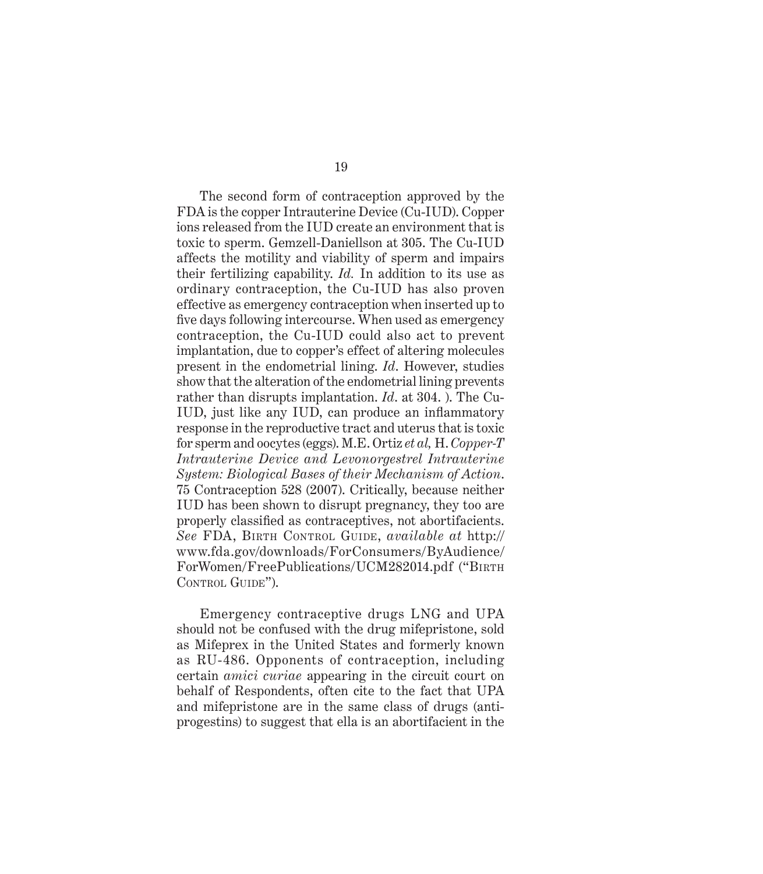The second form of contraception approved by the FDA is the copper Intrauterine Device (Cu-IUD). Copper ions released from the IUD create an environment that is toxic to sperm. Gemzell-Daniellson at 305. The Cu-IUD affects the motility and viability of sperm and impairs their fertilizing capability. *Id.* In addition to its use as ordinary contraception, the Cu-IUD has also proven effective as emergency contraception when inserted up to five days following intercourse. When used as emergency contraception, the Cu-IUD could also act to prevent implantation, due to copper's effect of altering molecules present in the endometrial lining. *Id*. However, studies show that the alteration of the endometrial lining prevents rather than disrupts implantation. *Id*. at 304. ). The Cu-IUD, just like any IUD, can produce an inflammatory response in the reproductive tract and uterus that is toxic for sperm and oocytes (eggs). M.E. Ortiz *et al,* H. *Copper-T Intrauterine Device and Levonorgestrel Intrauterine System: Biological Bases of their Mechanism of Action*. 75 Contraception 528 (2007). Critically, because neither IUD has been shown to disrupt pregnancy, they too are properly classified as contraceptives, not abortifacients. *See* FDA, BIRTH CONTROL GUIDE, *available at* http:// www.fda.gov/downloads/ForConsumers/ByAudience/ ForWomen/FreePublications/UCM282014.pdf ("BIRTH CONTROL GUIDE").

Emergency contraceptive drugs LNG and UPA should not be confused with the drug mifepristone, sold as Mifeprex in the United States and formerly known as RU-486. Opponents of contraception, including certain *amici curiae* appearing in the circuit court on behalf of Respondents, often cite to the fact that UPA and mifepristone are in the same class of drugs (antiprogestins) to suggest that ella is an abortifacient in the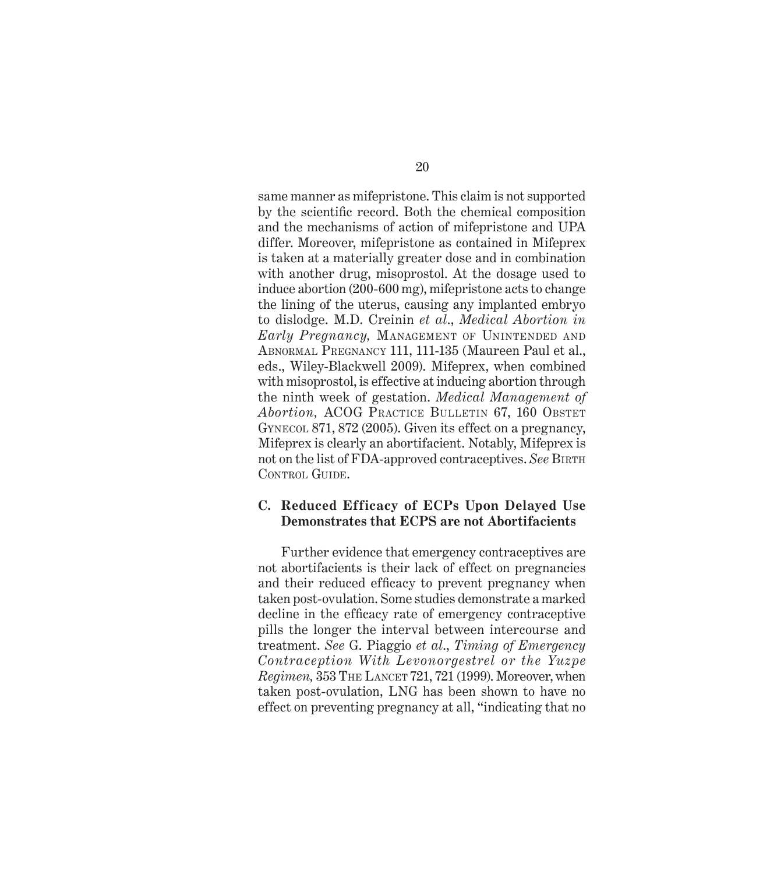same manner as mifepristone. This claim is not supported by the scientific record. Both the chemical composition and the mechanisms of action of mifepristone and UPA differ. Moreover, mifepristone as contained in Mifeprex is taken at a materially greater dose and in combination with another drug, misoprostol. At the dosage used to induce abortion (200-600 mg), mifepristone acts to change the lining of the uterus, causing any implanted embryo to dislodge. M.D. Creinin *et al*., *Medical Abortion in Early Pregnancy,* MANAGEMENT OF UNINTENDED AND ABNORMAL PREGNANCY 111, 111-135 (Maureen Paul et al., eds., Wiley-Blackwell 2009). Mifeprex, when combined with misoprostol, is effective at inducing abortion through the ninth week of gestation. *Medical Management of Abortion,* ACOG PRACTICE BULLETIN 67, 160 OBSTET GYNECOL 871, 872 (2005). Given its effect on a pregnancy, Mifeprex is clearly an abortifacient. Notably, Mifeprex is not on the list of FDA-approved contraceptives. *See* BIRTH CONTROL GUIDE.

### **C. Reduced Efficacy of ECPs Upon Delayed Use Demonstrates that ECPS are not Abortifacients**

Further evidence that emergency contraceptives are not abortifacients is their lack of effect on pregnancies and their reduced efficacy to prevent pregnancy when taken post-ovulation. Some studies demonstrate a marked decline in the efficacy rate of emergency contraceptive pills the longer the interval between intercourse and treatment. *See* G. Piaggio *et al*., *Timing of Emergency Contraception With Levonorgestrel or the Yuzpe Regimen,* 353 THE LANCET 721, 721 (1999). Moreover, when taken post-ovulation, LNG has been shown to have no effect on preventing pregnancy at all, "indicating that no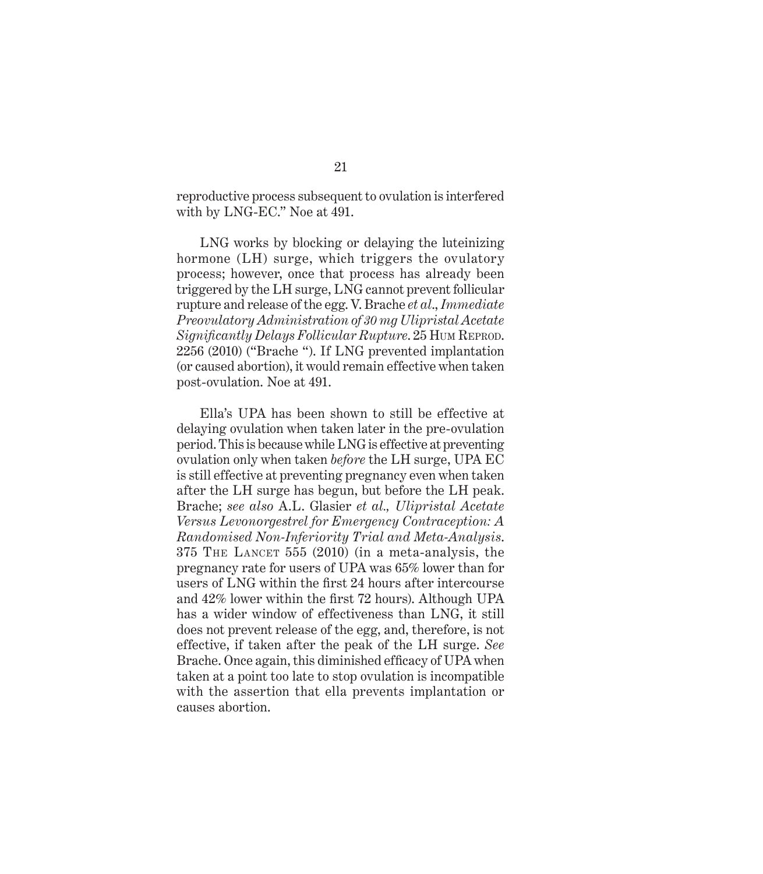reproductive process subsequent to ovulation is interfered with by LNG-EC." Noe at 491.

LNG works by blocking or delaying the luteinizing hormone (LH) surge, which triggers the ovulatory process; however, once that process has already been triggered by the LH surge, LNG cannot prevent follicular rupture and release of the egg. V. Brache *et al*., *Immediate Preovulatory Administration of 30 mg Ulipristal Acetate Signifi cantly Delays Follicular Rupture*. 25 HUM REPROD. 2256 (2010) ("Brache "). If LNG prevented implantation (or caused abortion), it would remain effective when taken post-ovulation. Noe at 491.

Ella's UPA has been shown to still be effective at delaying ovulation when taken later in the pre-ovulation period. This is because while LNG is effective at preventing ovulation only when taken *before* the LH surge, UPA EC is still effective at preventing pregnancy even when taken after the LH surge has begun, but before the LH peak. Brache; *see also* A.L. Glasier *et al., Ulipristal Acetate Versus Levonorgestrel for Emergency Contraception: A Randomised Non-Inferiority Trial and Meta-Analysis*. 375 THE LANCET 555 (2010) (in a meta-analysis, the pregnancy rate for users of UPA was 65% lower than for users of LNG within the first 24 hours after intercourse and  $42\%$  lower within the first 72 hours). Although UPA has a wider window of effectiveness than LNG, it still does not prevent release of the egg, and, therefore, is not effective, if taken after the peak of the LH surge. *See* Brache. Once again, this diminished efficacy of UPA when taken at a point too late to stop ovulation is incompatible with the assertion that ella prevents implantation or causes abortion.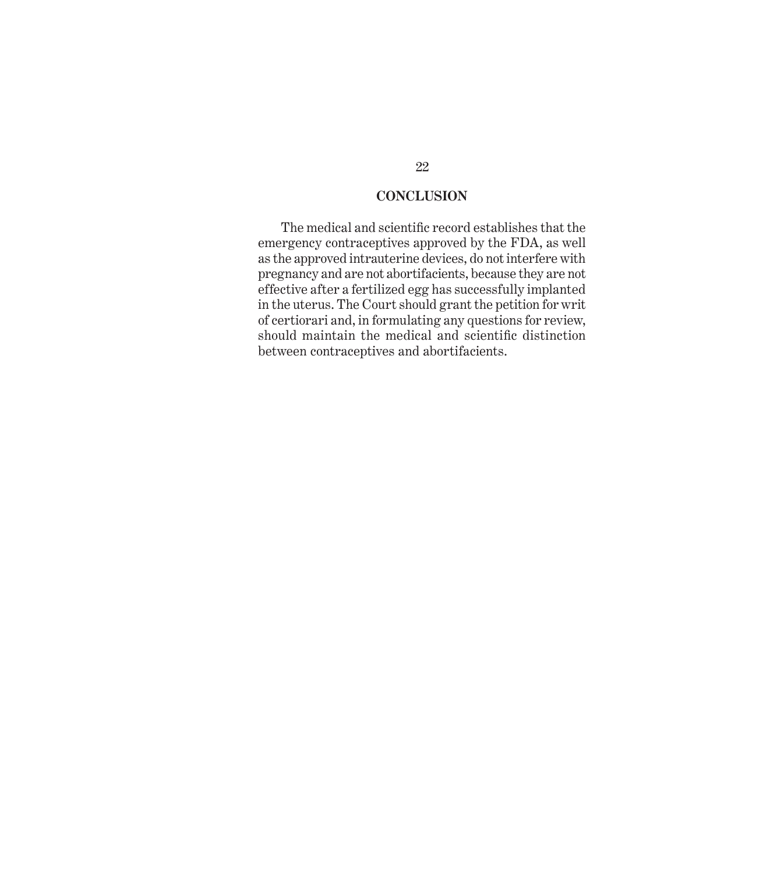## **CONCLUSION**

The medical and scientific record establishes that the emergency contraceptives approved by the FDA, as well as the approved intrauterine devices, do not interfere with pregnancy and are not abortifacients, because they are not effective after a fertilized egg has successfully implanted in the uterus. The Court should grant the petition for writ of certiorari and, in formulating any questions for review, should maintain the medical and scientific distinction between contraceptives and abortifacients.